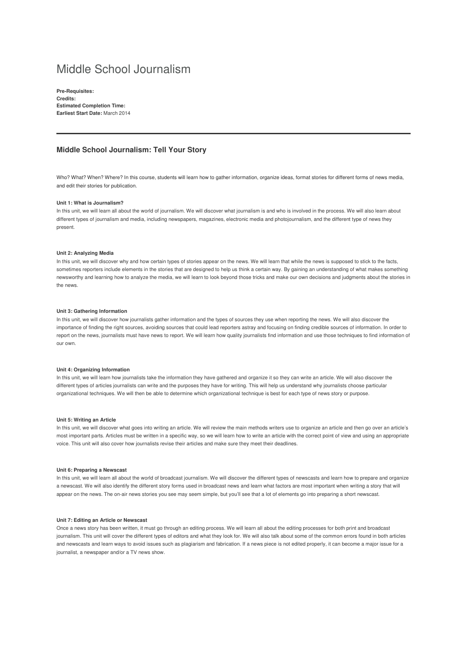# Middle School Journalism

**Pre-Requisites: Credits: Estimated Completion Time: Earliest Start Date:** March 2014

## **Middle School Journalism: Tell Your Story**

Who? What? When? Where? In this course, students will learn how to gather information, organize ideas, format stories for different forms of news media, and edit their stories for publication.

## **Unit 1: What is Journalism?**

In this unit, we will learn all about the world of journalism. We will discover what journalism is and who is involved in the process. We will also learn about different types of journalism and media, including newspapers, magazines, electronic media and photojournalism, and the different type of news they present.

## **Unit 2: Analyzing Media**

In this unit, we will discover why and how certain types of stories appear on the news. We will learn that while the news is supposed to stick to the facts, sometimes reporters include elements in the stories that are designed to help us think a certain way. By gaining an understanding of what makes something newsworthy and learning how to analyze the media, we will learn to look beyond those tricks and make our own decisions and judgments about the stories in the news.

#### **Unit 3: Gathering Information**

In this unit, we will discover how journalists gather information and the types of sources they use when reporting the news. We will also discover the importance of finding the right sources, avoiding sources that could lead reporters astray and focusing on finding credible sources of information. In order to report on the news, journalists must have news to report. We will learn how quality journalists find information and use those techniques to find information of our own.

#### **Unit 4: Organizing Information**

In this unit, we will learn how journalists take the information they have gathered and organize it so they can write an article. We will also discover the different types of articles journalists can write and the purposes they have for writing. This will help us understand why journalists choose particular organizational techniques. We will then be able to determine which organizational technique is best for each type of news story or purpose.

#### **Unit 5: Writing an Article**

In this unit, we will discover what goes into writing an article. We will review the main methods writers use to organize an article and then go over an article's most important parts. Articles must be written in a specific way, so we will learn how to write an article with the correct point of view and using an appropriate voice. This unit will also cover how journalists revise their articles and make sure they meet their deadlines.

#### **Unit 6: Preparing a Newscast**

In this unit, we will learn all about the world of broadcast journalism. We will discover the different types of newscasts and learn how to prepare and organize a newscast. We will also identify the different story forms used in broadcast news and learn what factors are most important when writing a story that will appear on the news. The on-air news stories you see may seem simple, but you'll see that a lot of elements go into preparing a short newscast.

## **Unit 7: Editing an Article or Newscast**

Once a news story has been written, it must go through an editing process. We will learn all about the editing processes for both print and broadcast journalism. This unit will cover the different types of editors and what they look for. We will also talk about some of the common errors found in both articles and newscasts and learn ways to avoid issues such as plagiarism and fabrication. If a news piece is not edited properly, it can become a major issue for a journalist, a newspaper and/or a TV news show.